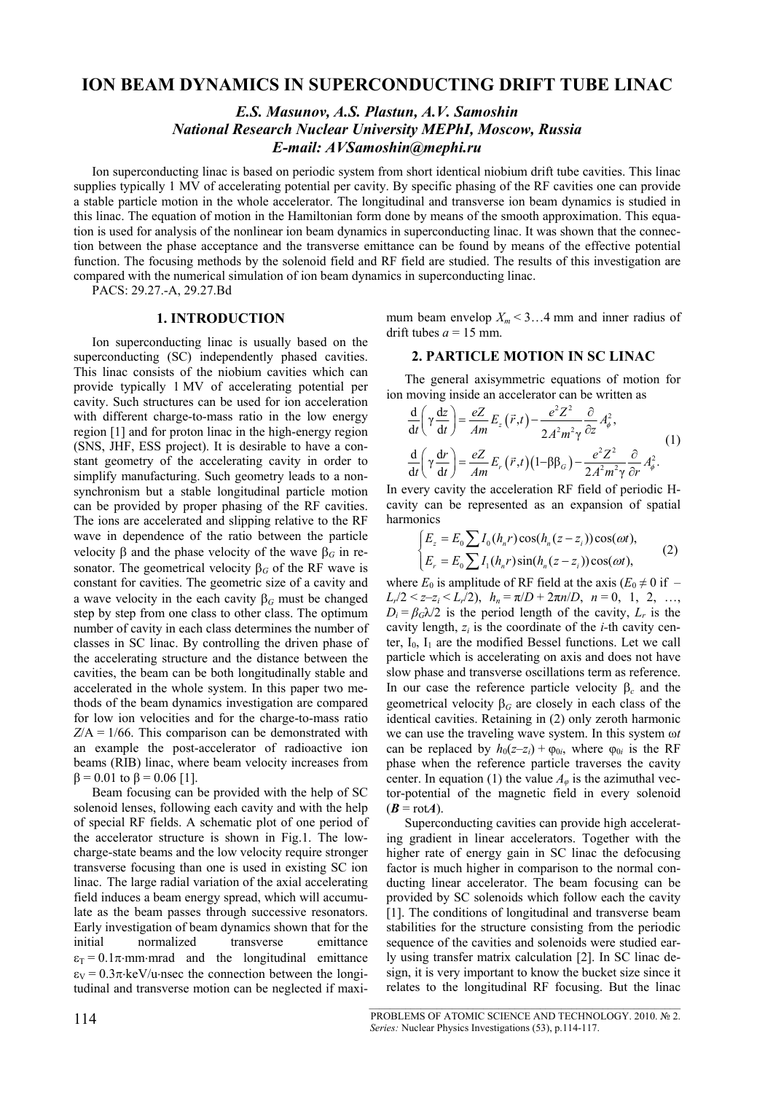# **ION BEAM DYNAMICS IN SUPERCONDUCTING DRIFT TUBE LINAC**

# *E.S. Masunov, A.S. Plastun, A.V. Samoshin National Research Nuclear University MEPhI, Moscow, Russia E-mail: AVSamoshin@mephi.ru*

Ion superconducting linac is based on periodic system from short identical niobium drift tube cavities. This linac supplies typically 1 MV of accelerating potential per cavity. By specific phasing of the RF cavities one can provide a stable particle motion in the whole accelerator. The longitudinal and transverse ion beam dynamics is studied in this linac. The equation of motion in the Hamiltonian form done by means of the smooth approximation. This equation is used for analysis of the nonlinear ion beam dynamics in superconducting linac. It was shown that the connection between the phase acceptance and the transverse emittance can be found by means of the effective potential function. The focusing methods by the solenoid field and RF field are studied. The results of this investigation are compared with the numerical simulation of ion beam dynamics in superconducting linac.

PACS: 29.27.-A, 29.27.Bd

## **1. INTRODUCTION**

Ion superconducting linac is usually based on the superconducting (SC) independently phased cavities. This linac consists of the niobium cavities which can provide typically 1 MV of accelerating potential per cavity. Such structures can be used for ion acceleration with different charge-to-mass ratio in the low energy region [1] and for proton linac in the high-energy region (SNS, JHF, ESS project). It is desirable to have a constant geometry of the accelerating cavity in order to simplify manufacturing. Such geometry leads to a nonsynchronism but a stable longitudinal particle motion can be provided by proper phasing of the RF cavities. The ions are accelerated and slipping relative to the RF wave in dependence of the ratio between the particle velocity β and the phase velocity of the wave  $β<sub>G</sub>$  in resonator. The geometrical velocity  $\beta_G$  of the RF wave is constant for cavities. The geometric size of a cavity and a wave velocity in the each cavity  $\beta_G$  must be changed step by step from one class to other class. The optimum number of cavity in each class determines the number of classes in SC linac. By controlling the driven phase of the accelerating structure and the distance between the cavities, the beam can be both longitudinally stable and accelerated in the whole system. In this paper two methods of the beam dynamics investigation are compared for low ion velocities and for the charge-to-mass ratio  $Z/A = 1/66$ . This comparison can be demonstrated with an example the post-accelerator of radioactive ion beams (RIB) linac, where beam velocity increases from  $β = 0.01$  to  $β = 0.06$  [1].

Beam focusing can be provided with the help of SC solenoid lenses, following each cavity and with the help of special RF fields. A schematic plot of one period of the accelerator structure is shown in Fig.1. The lowcharge-state beams and the low velocity require stronger transverse focusing than one is used in existing SC ion linac. The large radial variation of the axial accelerating field induces a beam energy spread, which will accumulate as the beam passes through successive resonators. Early investigation of beam dynamics shown that for the initial normalized transverse emittance  $\varepsilon_T = 0.1\pi \cdot mm \cdot mrad$  and the longitudinal emittance  $\varepsilon_V = 0.3\pi \text{·keV/u-nsec}$  the connection between the longitudinal and transverse motion can be neglected if maximum beam envelop  $X_m < 3...4$  mm and inner radius of drift tubes  $a = 15$  mm.

## **2. PARTICLE MOTION IN SC LINAC**

The general axisymmetric equations of motion for ion moving inside an accelerator can be written as

$$
\frac{d}{dt}\left(\gamma \frac{dz}{dt}\right) = \frac{eZ}{Am}E_z\left(\vec{r},t\right) - \frac{e^2 Z^2}{2A^2 m^2 \gamma} \frac{\partial}{\partial z} A_\phi^2,
$$
\n
$$
\frac{d}{dt}\left(\gamma \frac{dr}{dt}\right) = \frac{eZ}{Am}E_r\left(\vec{r},t\right)\left(1-\beta \beta_G\right) - \frac{e^2 Z^2}{2A^2 m^2 \gamma} \frac{\partial}{\partial r} A_\phi^2.
$$
\n(1)

In every cavity the acceleration RF field of periodic Hcavity can be represented as an expansion of spatial harmonics

$$
\begin{cases}\nE_z = E_0 \sum I_0(h_n r) \cos(h_n(z - z_i)) \cos(\omega t), \\
E_r = E_0 \sum I_1(h_n r) \sin(h_n(z - z_i)) \cos(\omega t),\n\end{cases}
$$
\n(2)

where  $E_0$  is amplitude of RF field at the axis ( $E_0 \neq 0$  if –  $L_r/2 < z-z_i < L_r/2$ ,  $h_n = \pi/D + 2\pi n/D$ ,  $n = 0, 1, 2, ...,$  $D_i = \beta_G \lambda/2$  is the period length of the cavity,  $L_r$  is the cavity length,  $z_i$  is the coordinate of the *i*-th cavity center,  $I_0$ ,  $I_1$  are the modified Bessel functions. Let we call particle which is accelerating on axis and does not have slow phase and transverse oscillations term as reference. In our case the reference particle velocity β*c* and the geometrical velocity  $β<sub>G</sub>$  are closely in each class of the identical cavities. Retaining in (2) only zeroth harmonic we can use the traveling wave system. In this system ω*t* can be replaced by  $h_0(z-z_i) + \varphi_{0i}$ , where  $\varphi_{0i}$  is the RF phase when the reference particle traverses the cavity center. In equation (1) the value  $A_{\varphi}$  is the azimuthal vector-potential of the magnetic field in every solenoid  $(B = \text{rot}A)$ .

Superconducting cavities can provide high accelerating gradient in linear accelerators. Together with the higher rate of energy gain in SC linac the defocusing factor is much higher in comparison to the normal conducting linear accelerator. The beam focusing can be provided by SC solenoids which follow each the cavity [1]. The conditions of longitudinal and transverse beam stabilities for the structure consisting from the periodic sequence of the cavities and solenoids were studied early using transfer matrix calculation [2]. In SC linac design, it is very important to know the bucket size since it relates to the longitudinal RF focusing. But the linac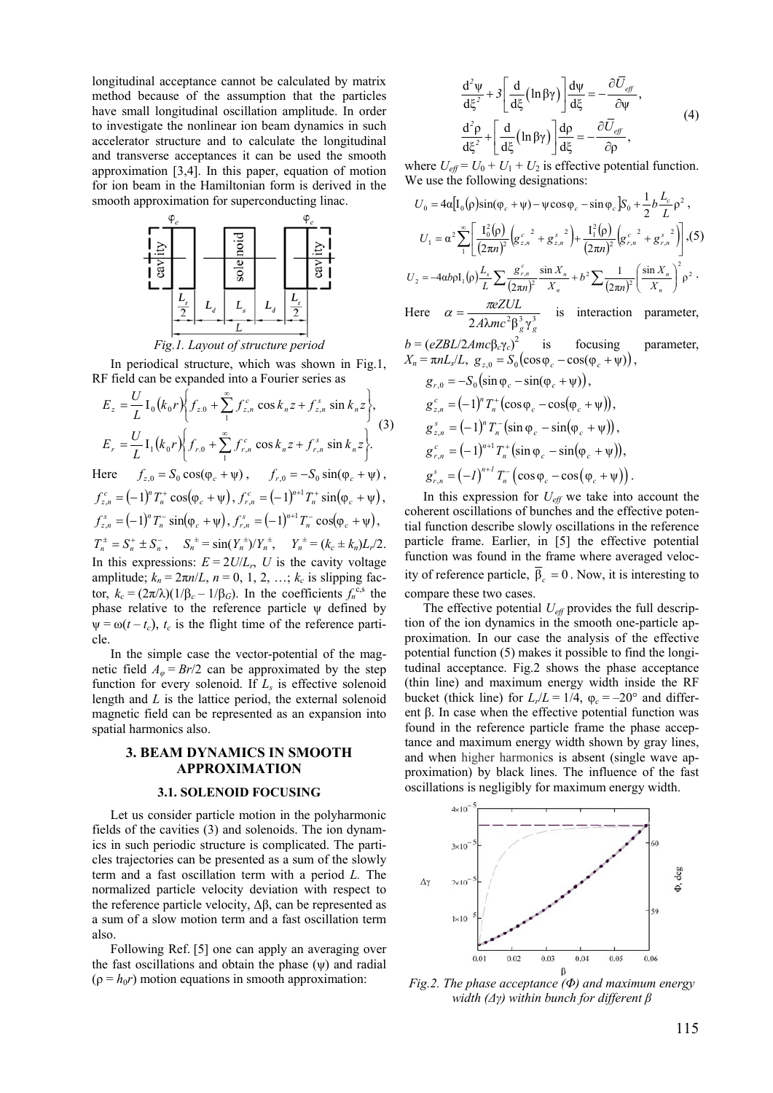longitudinal acceptance cannot be calculated by matrix method because of the assumption that the particles have small longitudinal oscillation amplitude. In order to investigate the nonlinear ion beam dynamics in such accelerator structure and to calculate the longitudinal and transverse acceptances it can be used the smooth approximation [3,4]. In this paper, equation of motion for ion beam in the Hamiltonian form is derived in the smooth approximation for superconducting linac.



*Fig.1. Layout of structure period* 

In periodical structure, which was shown in Fig.1, RF field can be expanded into a Fourier series as

$$
E_z = \frac{U}{L} I_0 (k_0 r) \left\{ f_{z,0} + \sum_{1}^{\infty} f_{z,n}^c \cos k_n z + f_{z,n}^s \sin k_n z \right\},\newline E_r = \frac{U}{L} I_1 (k_0 r) \left\{ f_{r,0} + \sum_{1}^{\infty} f_{r,n}^c \cos k_n z + f_{r,n}^s \sin k_n z \right\}.
$$
\n(3)

Here  $f_{z,0} = S_0 \cos(\varphi_c + \psi)$ ,  $f_{r,0} = -S_0 \sin(\varphi_c + \psi)$ ,  $f_{z,n}^c = (-1)^n T_n^+ \cos(\varphi_c + \psi), f_{r,n}^c = (-1)^{n+1} T_n^+ \sin(\varphi_c + \psi),$  $f_{z,n}^s = (-1)^n T_n^- \sin(\varphi_c + \psi), f_{r,n}^s = (-1)^{n+1} T_n^- \cos(\varphi_c + \psi),$  $T_n^{\pm} = S_n^+ \pm S_n^-$ ,  $S_n^{\pm} = \sin(Y_n^{\pm})/Y_n^{\pm}$ ,  $Y_n^{\pm} = (k_c \pm k_n)L_r/2$ .

In this expressions:  $E = 2U/L_r$ , *U* is the cavity voltage amplitude;  $k_n = 2\pi n/L$ ,  $n = 0, 1, 2, \ldots$ ;  $k_c$  is slipping factor,  $k_c = (2\pi/\lambda)(1/\beta_c - 1/\beta_G)$ . In the coefficients  $f_n^{c,s}$  the phase relative to the reference particle  $\psi$  defined by  $\Psi = \omega(t - t_c)$ ,  $t_c$  is the flight time of the reference particle.

In the simple case the vector-potential of the magnetic field  $A_{\varphi} = Br/2$  can be approximated by the step function for every solenoid. If *Ls* is effective solenoid length and *L* is the lattice period, the external solenoid magnetic field can be represented as an expansion into spatial harmonics also.

## **3. BEAM DYNAMICS IN SMOOTH APPROXIMATION**

### **3.1. SOLENOID FOCUSING**

Let us consider particle motion in the polyharmonic fields of the cavities (3) and solenoids. The ion dynamics in such periodic structure is complicated. The particles trajectories can be presented as a sum of the slowly term and a fast oscillation term with a period *L.* The normalized particle velocity deviation with respect to the reference particle velocity,  $Δβ$ , can be represented as a sum of a slow motion term and a fast oscillation term also.

Following Ref. [5] one can apply an averaging over the fast oscillations and obtain the phase  $(\psi)$  and radial  $(\rho = h_0 r)$  motion equations in smooth approximation:

$$
\frac{d^2 \psi}{d\xi^2} + 3 \left[ \frac{d}{d\xi} \left( \ln \beta \gamma \right) \right] \frac{d\psi}{d\xi} = -\frac{\partial \overline{U}_{\text{eff}}}{\partial \psi},
$$
\n
$$
\frac{d^2 \rho}{d\xi^2} + \left[ \frac{d}{d\xi} \left( \ln \beta \gamma \right) \right] \frac{d\rho}{d\xi} = -\frac{\partial \overline{U}_{\text{eff}}}{\partial \rho},
$$
\n(4)

where  $U_{\text{eff}} = U_0 + U_1 + U_2$  is effective potential function. We use the following designations:

$$
U_0 = 4\alpha \Big[ I_0(\rho) \sin(\varphi_c + \psi) - \psi \cos \varphi_c - \sin \varphi_c \Big] S_0 + \frac{1}{2} b \frac{L_c}{L} \rho^2 ,
$$
  
\n
$$
U_1 = \alpha^2 \sum_{1}^{\infty} \Biggl[ \frac{I_0^2(\rho)}{(2\pi n)^2} \Biggl( g_{z,n}^{c^2} + g_{z,n}^{s^2} \Biggr) + \frac{I_1^2(\rho)}{(2\pi n)^2} \Biggl( g_{r,n}^{c^2} + g_{r,n}^{s^2} \Biggr) \Biggr],
$$
  
\n
$$
U_2 = -4\alpha b \rho I_1(\rho) \frac{L_s}{L} \sum_{1}^{\infty} \frac{g_{r,n}^{c^2}}{(2\pi n)^2} \frac{\sin X_n}{X_n} + b^2 \sum_{1}^{\infty} \frac{1}{(2\pi n)^2} \Biggl( \frac{\sin X_n}{X_n} \Biggr)^2 \rho^2 .
$$
  
\nHence,  $\alpha = \frac{\pi eZUL}{L}$  is interaction,  $\rho$ 

Here  $\alpha = \frac{\pi eZUL}{2A\lambda mc^2 \beta_g^3 \gamma_g^3}$  is interaction parameter,

$$
b = (eZBL/2Amc\beta_c\gamma_c)^2
$$
 is focusing parameter,  

$$
X_n = \pi n L_s/L, g_{z,0} = S_0(\cos\varphi_c - \cos(\varphi_c + \psi)),
$$

$$
g_{r,0} = -S_0(\sin \varphi_c - \sin(\varphi_c + \psi)),
$$
  
\n
$$
g_{z,n}^c = (-1)^n T_n^+(\cos \varphi_c - \cos(\varphi_c + \psi)),
$$
  
\n
$$
g_{z,n}^s = (-1)^n T_n^-(\sin \varphi_c - \sin(\varphi_c + \psi)),
$$
  
\n
$$
g_{r,n}^c = (-1)^{n+1} T_n^+(\sin \varphi_c - \sin(\varphi_c + \psi)),
$$
  
\n
$$
g_{r,n}^s = (-1)^{n+1} T_n^-(\cos \varphi_c - \cos(\varphi_c + \psi)).
$$

In this expression for  $U_{\text{eff}}$  we take into account the coherent oscillations of bunches and the effective potential function describe slowly oscillations in the reference particle frame. Earlier, in [5] the effective potential function was found in the frame where averaged velocity of reference particle,  $\overline{\beta}_c = 0$ . Now, it is interesting to compare these two cases.

The effective potential  $U_{\text{eff}}$  provides the full description of the ion dynamics in the smooth one-particle approximation. In our case the analysis of the effective potential function (5) makes it possible to find the longitudinal acceptance. Fig.2 shows the phase acceptance (thin line) and maximum energy width inside the RF bucket (thick line) for  $L_r/L = 1/4$ ,  $\varphi_c = -20^\circ$  and different β. In case when the effective potential function was found in the reference particle frame the phase acceptance and maximum energy width shown by gray lines, and when higher harmonics is absent (single wave approximation) by black lines. The influence of the fast oscillations is negligibly for maximum energy width.



*Fig.2. The phase acceptance (Φ) and maximum energy width (Δγ) within bunch for different β*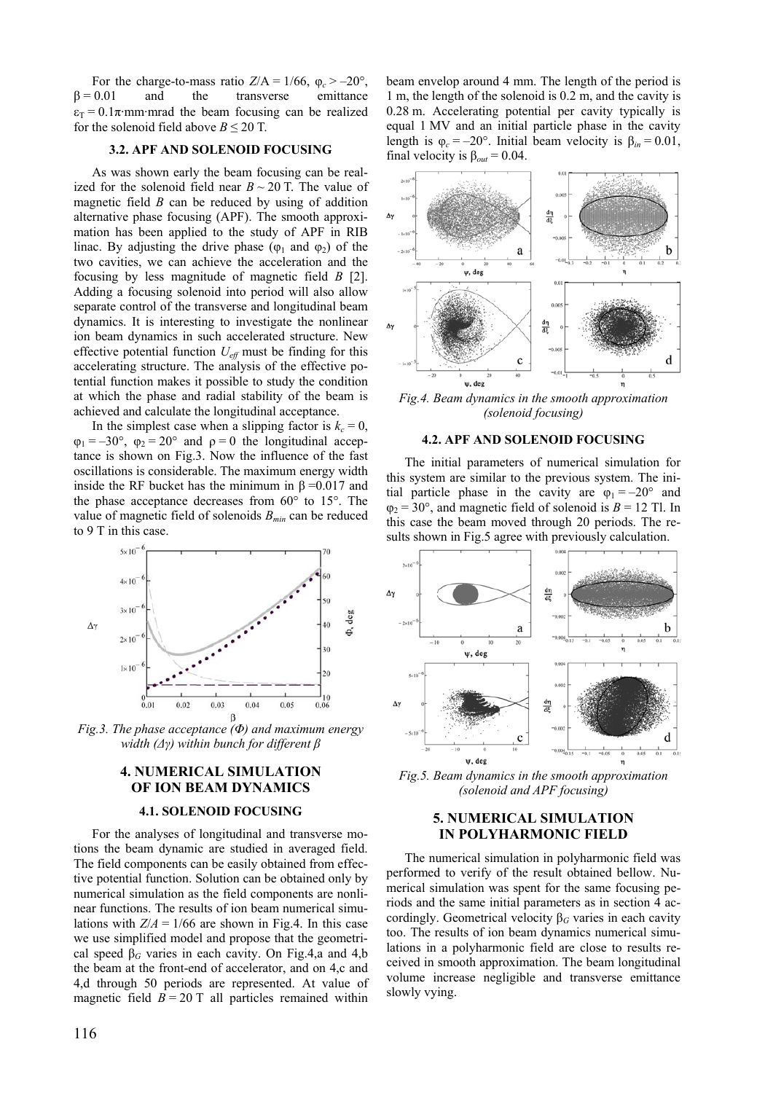For the charge-to-mass ratio  $Z/A = 1/66$ ,  $\varphi_c > -20^\circ$ ,  $\beta = 0.01$  and the transverse emittance  $\varepsilon_T = 0.1\pi$ ·mm·mrad the beam focusing can be realized for the solenoid field above  $B \le 20$  T.

### **3.2. APF AND SOLENOID FOCUSING**

As was shown early the beam focusing can be realized for the solenoid field near  $B \sim 20$  T. The value of magnetic field *B* can be reduced by using of addition alternative phase focusing (APF). The smooth approximation has been applied to the study of APF in RIB linac. By adjusting the drive phase ( $\varphi_1$  and  $\varphi_2$ ) of the two cavities, we can achieve the acceleration and the focusing by less magnitude of magnetic field *B* [2]. Adding a focusing solenoid into period will also allow separate control of the transverse and longitudinal beam dynamics. It is interesting to investigate the nonlinear ion beam dynamics in such accelerated structure. New effective potential function *Ueff* must be finding for this accelerating structure. The analysis of the effective potential function makes it possible to study the condition at which the phase and radial stability of the beam is achieved and calculate the longitudinal acceptance.

In the simplest case when a slipping factor is  $k_c = 0$ ,  $\varphi_1 = -30^\circ$ ,  $\varphi_2 = 20^\circ$  and  $\rho = 0$  the longitudinal acceptance is shown on Fig.3. Now the influence of the fast oscillations is considerable. The maximum energy width inside the RF bucket has the minimum in  $β = 0.017$  and the phase acceptance decreases from 60° to 15°. The value of magnetic field of solenoids *Bmin* can be reduced to 9 T in this case.



*Fig.3. The phase acceptance (Φ) and maximum energy width (Δγ) within bunch for different β*

### **4. NUMERICAL SIMULATION OF ION BEAM DYNAMICS**

#### **4.1. SOLENOID FOCUSING**

For the analyses of longitudinal and transverse motions the beam dynamic are studied in averaged field. The field components can be easily obtained from effective potential function. Solution can be obtained only by numerical simulation as the field components are nonlinear functions. The results of ion beam numerical simulations with  $Z/A = 1/66$  are shown in Fig.4. In this case we use simplified model and propose that the geometrical speed  $\beta$ <sup>*G*</sup> varies in each cavity. On Fig.4,a and 4,b the beam at the front-end of accelerator, and on 4,c and 4,d through 50 periods are represented. At value of magnetic field  $B = 20$  T all particles remained within

beam envelop around 4 mm. The length of the period is 1 m, the length of the solenoid is 0.2 m, and the cavity is 0.28 m. Accelerating potential per cavity typically is equal 1 MV and an initial particle phase in the cavity length is  $\varphi_c = -20^\circ$ . Initial beam velocity is  $\beta_{in} = 0.01$ , final velocity is  $\beta_{out} = 0.04$ .



*Fig.4. Beam dynamics in the smooth approximation (solenoid focusing)* 

#### **4.2. APF AND SOLENOID FOCUSING**

The initial parameters of numerical simulation for this system are similar to the previous system. The initial particle phase in the cavity are  $\varphi_1 = -20^\circ$  and  $\varphi_2$  = 30°, and magnetic field of solenoid is *B* = 12 Tl. In this case the beam moved through 20 periods. The results shown in Fig.5 agree with previously calculation.



*Fig.5. Beam dynamics in the smooth approximation (solenoid and APF focusing)* 

## **5. NUMERICAL SIMULATION IN POLYHARMONIC FIELD**

The numerical simulation in polyharmonic field was performed to verify of the result obtained bellow. Numerical simulation was spent for the same focusing periods and the same initial parameters as in section 4 accordingly. Geometrical velocity β*G* varies in each cavity too. The results of ion beam dynamics numerical simulations in a polyharmonic field are close to results received in smooth approximation. The beam longitudinal volume increase negligible and transverse emittance slowly vying.